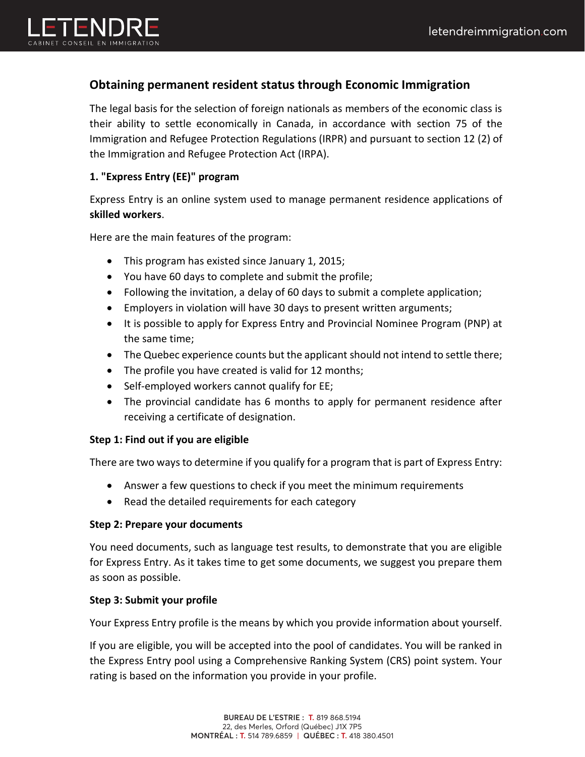

# **Obtaining permanent resident status through Economic Immigration**

The legal basis for the selection of foreign nationals as members of the economic class is their ability to settle economically in Canada, in accordance with section 75 of the Immigration and Refugee Protection Regulations (IRPR) and pursuant to section 12 (2) of the Immigration and Refugee Protection Act (IRPA).

## **1. "Express Entry (EE)" program**

Express Entry is an online system used to manage permanent residence applications of **skilled workers**.

Here are the main features of the program:

- This program has existed since January 1, 2015;
- You have 60 days to complete and submit the profile;
- Following the invitation, a delay of 60 days to submit a complete application;
- Employers in violation will have 30 days to present written arguments;
- It is possible to apply for Express Entry and Provincial Nominee Program (PNP) at the same time;
- The Quebec experience counts but the applicant should not intend to settle there;
- The profile you have created is valid for 12 months;
- Self-employed workers cannot qualify for EE;
- The provincial candidate has 6 months to apply for permanent residence after receiving a certificate of designation.

## **Step 1: Find out if you are eligible**

There are two ways to determine if you qualify for a program that is part of Express Entry:

- Answer a few questions to check if you meet the minimum requirements
- Read the detailed requirements for each category

## **Step 2: Prepare your documents**

You need documents, such as language test results, to demonstrate that you are eligible for Express Entry. As it takes time to get some documents, we suggest you prepare them as soon as possible.

## **Step 3: Submit your profile**

Your Express Entry profile is the means by which you provide information about yourself.

If you are eligible, you will be accepted into the pool of candidates. You will be ranked in the Express Entry pool using a Comprehensive Ranking System (CRS) point system. Your rating is based on the information you provide in your profile.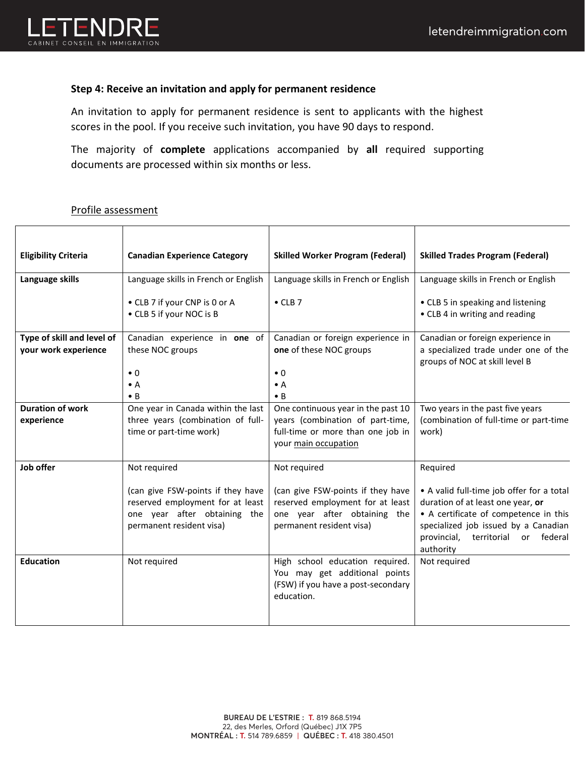

### **Step 4: Receive an invitation and apply for permanent residence**

An invitation to apply for permanent residence is sent to applicants with the highest scores in the pool. If you receive such invitation, you have 90 days to respond.

The majority of **complete** applications accompanied by **all** required supporting documents are processed within six months or less.

#### Profile assessment

| <b>Eligibility Criteria</b>                        | <b>Canadian Experience Category</b>                                                                                               | <b>Skilled Worker Program (Federal)</b>                                                                                             | <b>Skilled Trades Program (Federal)</b>                                                                                                                                                                                  |
|----------------------------------------------------|-----------------------------------------------------------------------------------------------------------------------------------|-------------------------------------------------------------------------------------------------------------------------------------|--------------------------------------------------------------------------------------------------------------------------------------------------------------------------------------------------------------------------|
| Language skills                                    | Language skills in French or English                                                                                              | Language skills in French or English                                                                                                | Language skills in French or English                                                                                                                                                                                     |
|                                                    | • CLB 7 if your CNP is 0 or A<br>• CLB 5 if your NOC is B                                                                         | $\bullet$ CLB 7                                                                                                                     | • CLB 5 in speaking and listening<br>• CLB 4 in writing and reading                                                                                                                                                      |
| Type of skill and level of<br>your work experience | Canadian experience in one of<br>these NOC groups                                                                                 | Canadian or foreign experience in<br>one of these NOC groups                                                                        | Canadian or foreign experience in<br>a specialized trade under one of the<br>groups of NOC at skill level B                                                                                                              |
|                                                    | $\bullet$ 0                                                                                                                       | $\bullet$ 0                                                                                                                         |                                                                                                                                                                                                                          |
|                                                    | $\bullet$ A<br>$\bullet$ B                                                                                                        | $\bullet$ A<br>$\bullet$ B                                                                                                          |                                                                                                                                                                                                                          |
| <b>Duration of work</b><br>experience              | One year in Canada within the last<br>three years (combination of full-<br>time or part-time work)                                | One continuous year in the past 10<br>years (combination of part-time,<br>full-time or more than one job in<br>your main occupation | Two years in the past five years<br>(combination of full-time or part-time<br>work)                                                                                                                                      |
| Job offer                                          | Not required                                                                                                                      | Not required                                                                                                                        | Required                                                                                                                                                                                                                 |
|                                                    | (can give FSW-points if they have<br>reserved employment for at least<br>one year after obtaining the<br>permanent resident visa) | (can give FSW-points if they have<br>reserved employment for at least<br>one year after obtaining the<br>permanent resident visa)   | • A valid full-time job offer for a total<br>duration of at least one year, or<br>• A certificate of competence in this<br>specialized job issued by a Canadian<br>provincial,<br>territorial or<br>federal<br>authority |
| <b>Education</b>                                   | Not required                                                                                                                      | High school education required.<br>You may get additional points<br>(FSW) if you have a post-secondary<br>education.                | Not required                                                                                                                                                                                                             |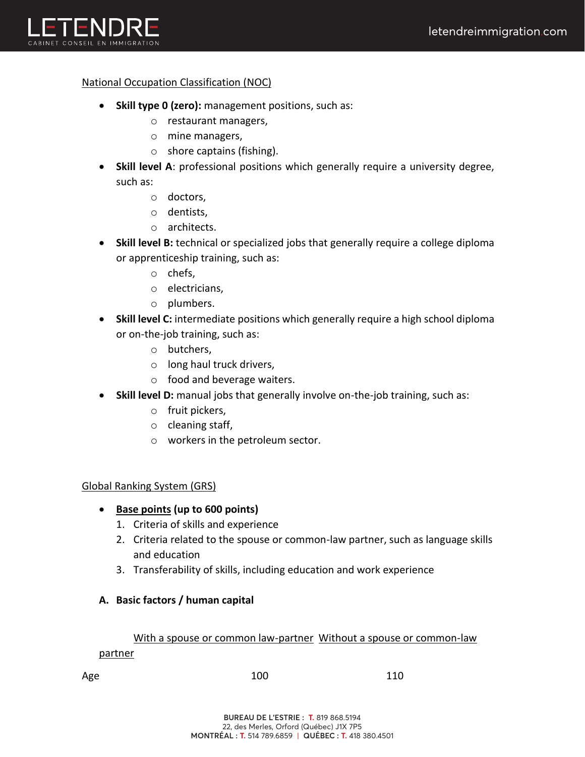

### National Occupation Classification (NOC)

- **Skill type 0 (zero):** management positions, such as:
	- o restaurant managers,
	- o mine managers,
	- o shore captains (fishing).
- **Skill level A**: professional positions which generally require a university degree, such as:
	- o doctors,
	- o dentists,
	- o architects.
- **Skill level B:** technical or specialized jobs that generally require a college diploma or apprenticeship training, such as:
	- o chefs,
	- o electricians,
	- o plumbers.
- **Skill level C:** intermediate positions which generally require a high school diploma or on-the-job training, such as:
	- o butchers,
	- o long haul truck drivers,
	- o food and beverage waiters.
- **Skill level D:** manual jobs that generally involve on-the-job training, such as:
	- o fruit pickers,
	- o cleaning staff,
	- o workers in the petroleum sector.

### Global Ranking System (GRS)

### • **Base points (up to 600 points)**

- 1. Criteria of skills and experience
- 2. Criteria related to the spouse or common-law partner, such as language skills and education
- 3. Transferability of skills, including education and work experience

### **A. Basic factors / human capital**

#### With a spouse or common law-partner Without a spouse or common-law

#### partner

Age 100 110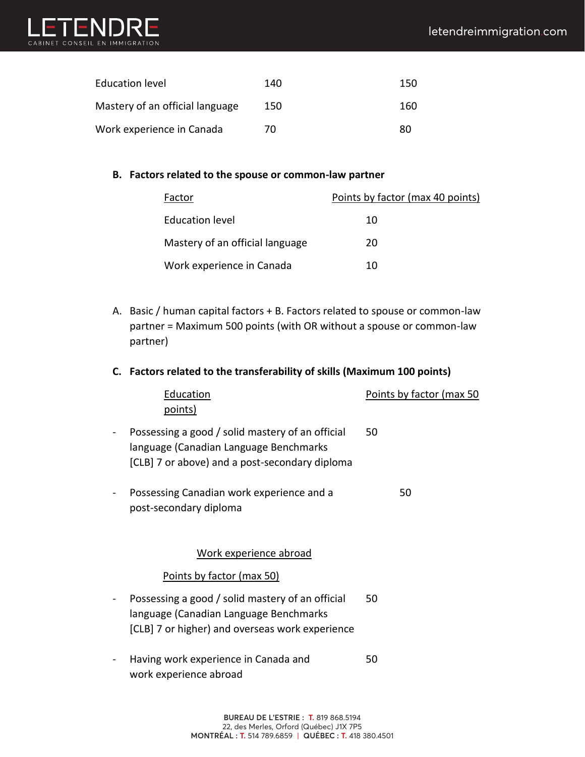

| Education level                 | 140 | 150 |
|---------------------------------|-----|-----|
| Mastery of an official language | 150 | 160 |
| Work experience in Canada       | 70  | 80  |

#### **B. Factors related to the spouse or common-law partner**

| Factor                          | Points by factor (max 40 points) |
|---------------------------------|----------------------------------|
| Education level                 | 10                               |
| Mastery of an official language | 20                               |
| Work experience in Canada       | 10                               |

A. Basic / human capital factors + B. Factors related to spouse or common-law partner = Maximum 500 points (with OR without a spouse or common-law partner)

### **C. Factors related to the transferability of skills (Maximum 100 points)**

|   | Education<br>points)                                                                                                                          | Points by factor (max 50 |
|---|-----------------------------------------------------------------------------------------------------------------------------------------------|--------------------------|
|   | Possessing a good / solid mastery of an official<br>language (Canadian Language Benchmarks<br>[CLB] 7 or above) and a post-secondary diploma  | 50                       |
|   | Possessing Canadian work experience and a<br>post-secondary diploma                                                                           | 50                       |
|   | Work experience abroad                                                                                                                        |                          |
|   | <u>Points by factor (max 50)</u>                                                                                                              |                          |
| - | Possessing a good / solid mastery of an official<br>language (Canadian Language Benchmarks<br>[CLB] 7 or higher) and overseas work experience | 50                       |
|   | Having work experience in Canada and<br>work experience abroad                                                                                | 50                       |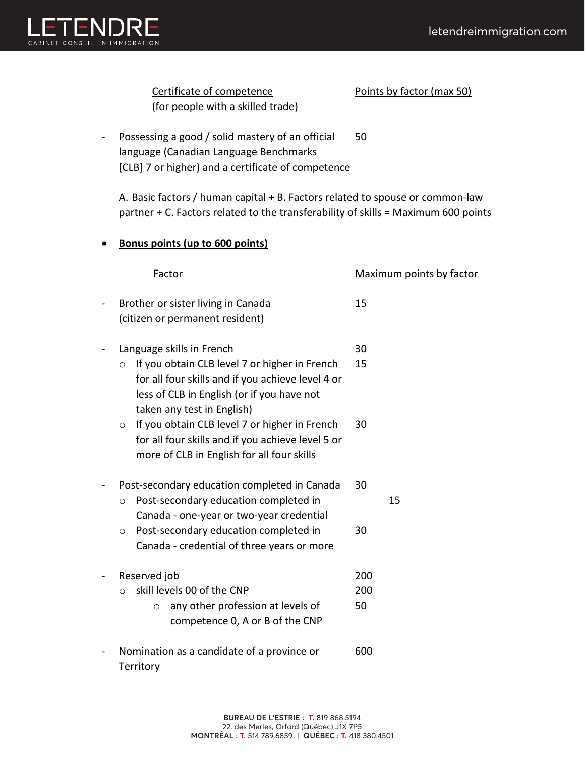

Certificate of competence Points by factor (max 50) (for people with a skilled trade)

- Possessing a good / solid mastery of an official 50 language (Canadian Language Benchmarks [CLB] 7 or higher) and a certificate of competence

A. Basic factors / human capital + B. Factors related to spouse or common-law partner + C. Factors related to the transferability of skills = Maximum 600 points

## • **Bonus points (up to 600 points)**

| Factor                                                                                                                                                                                                                 | Maximum points by factor |
|------------------------------------------------------------------------------------------------------------------------------------------------------------------------------------------------------------------------|--------------------------|
| Brother or sister living in Canada<br>(citizen or permanent resident)                                                                                                                                                  | 15                       |
| Language skills in French<br>If you obtain CLB level 7 or higher in French<br>$\circ$<br>for all four skills and if you achieve level 4 or<br>less of CLB in English (or if you have not<br>taken any test in English) | 30<br>15                 |
| If you obtain CLB level 7 or higher in French<br>$\circ$<br>for all four skills and if you achieve level 5 or<br>more of CLB in English for all four skills                                                            | 30                       |
| Post-secondary education completed in Canada<br>Post-secondary education completed in<br>$\circ$<br>Canada - one-year or two-year credential                                                                           | 30<br>15                 |
| Post-secondary education completed in<br>$\circ$<br>Canada - credential of three years or more                                                                                                                         | 30                       |
| Reserved job<br>skill levels 00 of the CNP<br>$\Omega$<br>any other profession at levels of<br>$\circ$<br>competence 0, A or B of the CNP                                                                              | 200<br>200<br>50         |
| Nomination as a candidate of a province or<br>Territory                                                                                                                                                                | 600                      |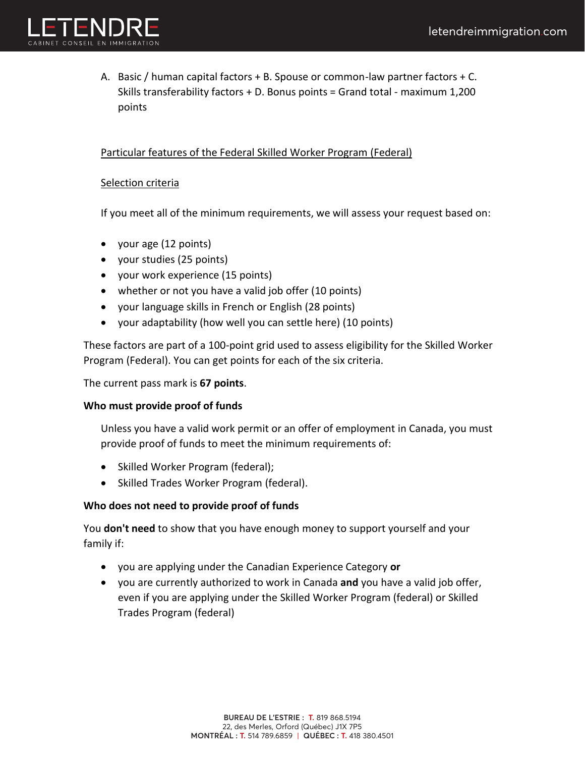

A. Basic / human capital factors + B. Spouse or common-law partner factors + C. Skills transferability factors + D. Bonus points = Grand total - maximum 1,200 points

### Particular features of the Federal Skilled Worker Program (Federal)

### Selection criteria

If you meet all of the minimum requirements, we will assess your request based on:

- your age (12 points)
- your studies (25 points)
- your work experience (15 points)
- whether or not you have a valid job offer (10 points)
- your language skills in French or English (28 points)
- your adaptability (how well you can settle here) (10 points)

These factors are part of a 100-point grid used to assess eligibility for the Skilled Worker Program (Federal). You can get points for each of the six criteria.

The current pass mark is **67 points**.

### **Who must provide proof of funds**

Unless you have a valid work permit or an offer of employment in Canada, you must provide proof of funds to meet the minimum requirements of:

- Skilled Worker Program (federal);
- Skilled Trades Worker Program (federal).

### **Who does not need to provide proof of funds**

You **don't need** to show that you have enough money to support yourself and your family if:

- you are applying under the Canadian Experience Category **or**
- you are currently authorized to work in Canada **and** you have a valid job offer, even if you are applying under the Skilled Worker Program (federal) or Skilled Trades Program (federal)